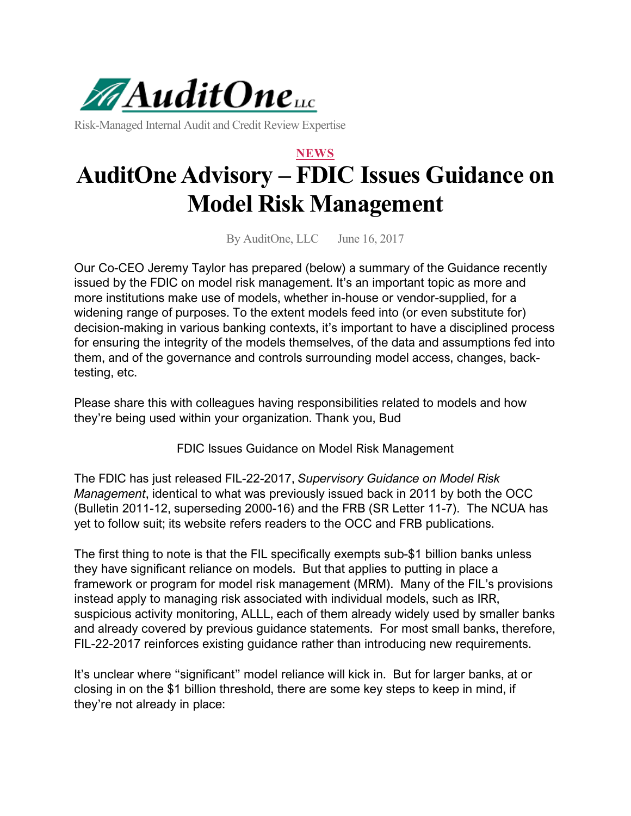

Risk-Managed Internal Audit and Credit Review Expertise

## **NEWS AuditOne Advisory – FDIC Issues Guidance on Model Risk Management**

By AuditOne, LLC June 16, 2017

Our Co-CEO Jeremy Taylor has prepared (below) a summary of the Guidance recently issued by the FDIC on model risk management. It's an important topic as more and more institutions make use of models, whether in-house or vendor-supplied, for a widening range of purposes. To the extent models feed into (or even substitute for) decision-making in various banking contexts, it's important to have a disciplined process for ensuring the integrity of the models themselves, of the data and assumptions fed into them, and of the governance and controls surrounding model access, changes, backtesting, etc.

Please share this with colleagues having responsibilities related to models and how they're being used within your organization. Thank you, Bud

FDIC Issues Guidance on Model Risk Management

The FDIC has just released FIL-22-2017, *Supervisory Guidance on Model Risk Management*, identical to what was previously issued back in 2011 by both the OCC (Bulletin 2011-12, superseding 2000-16) and the FRB (SR Letter 11-7). The NCUA has yet to follow suit; its website refers readers to the OCC and FRB publications.

The first thing to note is that the FIL specifically exempts sub-\$1 billion banks unless they have significant reliance on models. But that applies to putting in place a framework or program for model risk management (MRM). Many of the FIL's provisions instead apply to managing risk associated with individual models, such as IRR, suspicious activity monitoring, ALLL, each of them already widely used by smaller banks and already covered by previous guidance statements. For most small banks, therefore, FIL-22-2017 reinforces existing guidance rather than introducing new requirements.

It's unclear where "significant" model reliance will kick in. But for larger banks, at or closing in on the \$1 billion threshold, there are some key steps to keep in mind, if they're not already in place: